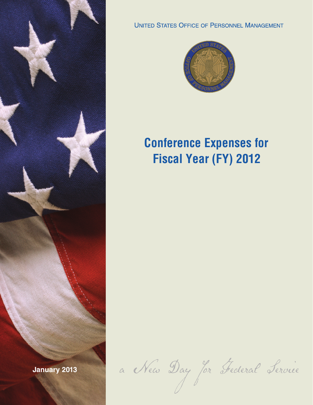

**UNITED STATES OFFICE OF PERSONNEL MANAGEMENT** 



## **Conference Expenses for Fiscal Year (FY) 2012**

**January 2013** a New Day for Federal Service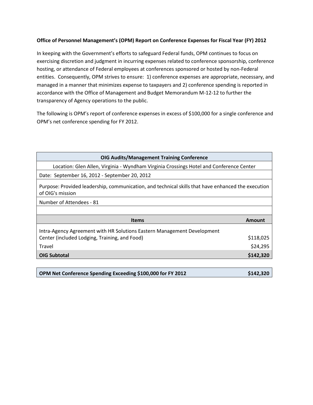## **Office of Personnel Management's (OPM) Report on Conference Expenses for Fiscal Year (FY) 2012**

In keeping with the Government's efforts to safeguard Federal funds, OPM continues to focus on exercising discretion and judgment in incurring expenses related to conference sponsorship, conference hosting, or attendance of Federal employees at conferences sponsored or hosted by non-Federal entities. Consequently, OPM strives to ensure: 1) conference expenses are appropriate, necessary, and managed in a manner that minimizes expense to taxpayers and 2) conference spending is reported in accordance with the Office of Management and Budget Memorandum M-12-12 to further the transparency of Agency operations to the public.

The following is OPM's report of conference expenses in excess of \$100,000 for a single conference and OPM's net conference spending for FY 2012.

| <b>OIG Audits/Management Training Conference</b>                                                                       |           |
|------------------------------------------------------------------------------------------------------------------------|-----------|
| Location: Glen Allen, Virginia - Wyndham Virginia Crossings Hotel and Conference Center                                |           |
| Date: September 16, 2012 - September 20, 2012                                                                          |           |
| Purpose: Provided leadership, communication, and technical skills that have enhanced the execution<br>of OIG's mission |           |
| Number of Attendees - 81                                                                                               |           |
|                                                                                                                        |           |
| <b>Items</b>                                                                                                           | Amount    |
| Intra-Agency Agreement with HR Solutions Eastern Management Development                                                |           |
| Center (included Lodging, Training, and Food)                                                                          | \$118,025 |
| Travel                                                                                                                 | \$24,295  |
| <b>OIG Subtotal</b>                                                                                                    | \$142,320 |

| OPM Net Conference Spending Exceeding \$100,000 for FY 2012 | \$142,320 |
|-------------------------------------------------------------|-----------|
|-------------------------------------------------------------|-----------|